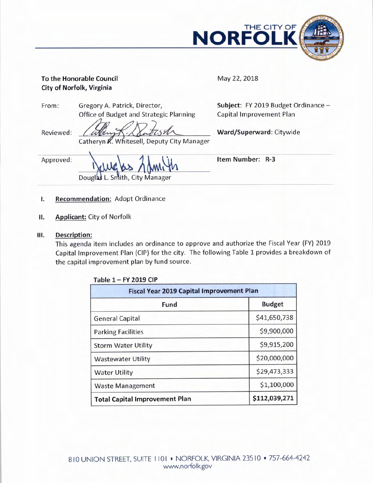

# **To the Honorable Council <b>May 22, 2018 City of Norfolk, Virginia**

From: Gregory A. Patrick, Director, **Subject:** FY 2019 Budget Ordinance — Office of Budget and Strategic Planning Capital Improvement Plan

Reviewed: *(allum X X MITCS M*) Ward/Superward: Citywide Catheryn R. Whitesell, Deputy City Manager

Approved:

Douglas L. Smith, City Manager

**Item Number: R-3** 

# **I. Recommendation:** Adopt Ordinance

- **II. Applicant:** City of Norfolk
- **III. Description:**

This agenda item includes an ordinance to approve and authorize the Fiscal Year (FY) <sup>2019</sup> Capital Improvement Plan (CIP) for the city. The following Table 1 provides a breakdown of the capital improvement plan by fund source.

| <b>Fiscal Year 2019 Capital Improvement Plan</b> |               |  |  |
|--------------------------------------------------|---------------|--|--|
| Fund                                             | <b>Budget</b> |  |  |
| <b>General Capital</b>                           | \$41,650,738  |  |  |
| <b>Parking Facilities</b>                        | \$9,900,000   |  |  |
| <b>Storm Water Utility</b>                       | \$9,915,200   |  |  |
| <b>Wastewater Utility</b>                        | \$20,000,000  |  |  |
| <b>Water Utility</b>                             | \$29,473,333  |  |  |
| <b>Waste Management</b>                          | \$1,100,000   |  |  |
| <b>Total Capital Improvement Plan</b>            | \$112,039,271 |  |  |

**Table 1— FY 2019 CIP**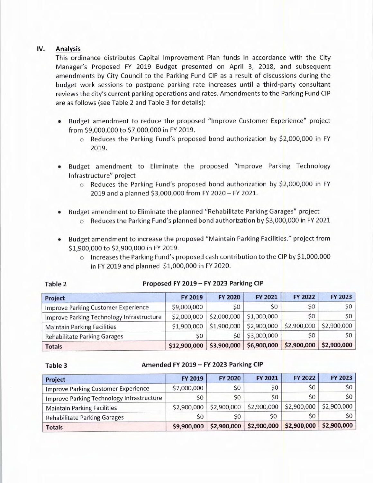### **IV. Analysis**

This ordinance distributes Capital Improvement Plan funds in accordance with the City Manager's Proposed FY 2019 Budget presented on April 3, 2018, and subsequent amendments by City Council to the Parking Fund CIP as <sup>a</sup>result of discussions during the budget work sessions to postpone parking rate increases until a third-party consultant reviews the city's current parking operations and rates. Amendments to the Parking Fund CIP are as follows (see Table 2 and Table 3 for details):

- Budget amendment to reduce the proposed "Improve Customer Experience" project from \$9,000,000 to \$7,000,000 in FY 2019.
	- $\circ$  Reduces the Parking Fund's proposed bond authorization by \$2,000,000 in FY 2019.
- Budget amendment to Eliminate the proposed "Improve Parking Technology Infrastructure" project
	- $\circ$  Reduces the Parking Fund's proposed bond authorization by \$2,000,000 in FY 2019 and a planned \$3,000,000 from FY 2020 — FY 2021.
- Budget amendment to Eliminate the planned "Rehabilitate Parking Garages" project  $\circ$  Reduces the Parking Fund's planned bond authorization by \$3,000,000 in FY 2021
- Budget amendment to increase the proposed "Maintain Parking Facilities." project from \$1,900,000 to \$2,900,000 in FY 2019.
	- $\circ$  Increases the Parking Fund's proposed cash contribution to the CIP by \$1,000,000 in FY 2019 and planned \$1,000,000 in FY 2020.

| Project                                    | FY 2019      | <b>FY 2020</b> | FY 2021     | FY 2022     | FY 2023     |
|--------------------------------------------|--------------|----------------|-------------|-------------|-------------|
| <b>Improve Parking Customer Experience</b> | \$9,000,000  | \$0            | \$0         | \$0         | \$0         |
| Improve Parking Technology Infrastructure  | \$2,000,000  | \$2,000,000    | \$1,000,000 | \$0         | S0          |
| <b>Maintain Parking Facilities</b>         | \$1,900,000  | \$1,900,000    | \$2,900,000 | \$2,900,000 | \$2,900,000 |
| <b>Rehabilitate Parking Garages</b>        | \$0          | \$0            | \$3,000,000 | \$0         | S0          |
| <b>Totals</b>                              | \$12,900,000 | \$3,900,000    | \$6,900,000 | \$2,900,000 | \$2,900,000 |

## **Table 2 Proposed FY 2019 — FY 2023 Parking CIP**

#### **Table 3 Amended FY 2019 — FY 2023 Parking CIP**

| Project                                    | FY 2019     | <b>FY 2020</b> | FY 2021     | <b>FY 2022</b>          | FY 2023         |
|--------------------------------------------|-------------|----------------|-------------|-------------------------|-----------------|
| <b>Improve Parking Customer Experience</b> | \$7,000,000 | \$0            | \$0         | \$0                     | 50              |
| Improve Parking Technology Infrastructure  | \$0         | \$0            | \$0         | \$0                     | 50              |
| <b>Maintain Parking Facilities</b>         | \$2,900,000 | \$2,900,000    | \$2,900,000 | \$2,900,000             | \$2,900,000     |
| <b>Rehabilitate Parking Garages</b>        | \$0         | SO.            | S0          | \$0                     | 50 <sup>1</sup> |
| <b>Totals</b>                              | \$9,900,000 | \$2,900,000    | \$2,900,000 | \$2,900,000 \$2,900,000 |                 |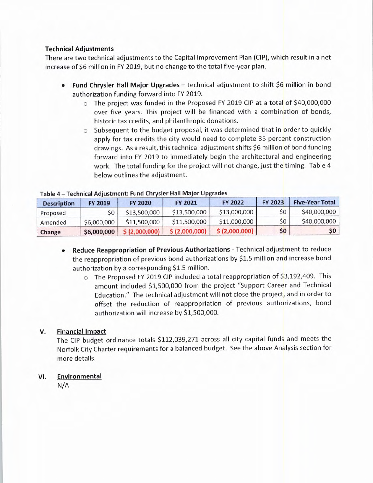#### **Technical Adjustments**

There are two technical adjustments to the Capital Improvement Plan (CIP), which result in a net increase of \$6 million in FY 2019, but no change to the total five-year plan.

- **Fund Chrysler Hall Major Upgrades** technical adjustment to shift \$6 million in bond authorization funding forward into FY 2019.
	- $\circ$  The project was funded in the Proposed FY 2019 CIP at a total of \$40,000,000 over five years. This project will be financed with a combination of bonds, historic tax credits, and philanthropic donations.
	- o Subsequent to the budget proposal, it was determined that in order to quickly apply for tax credits the city would need to complete 35 percent construction drawings. As a result, this technical adjustment shifts \$6 million of bond funding forward into FY 2019 to immediately begin the architectural and engineering work. The total funding for the project will not change, just the timing. Table <sup>4</sup> below outlines the adjustment.

| <b>Description</b> | <b>FY 2019</b> | <b>FY 2020</b> | <b>FY 2021</b> | <b>FY 2022</b> | <b>FY 2023</b> | <b>Five-Year Total</b> |
|--------------------|----------------|----------------|----------------|----------------|----------------|------------------------|
| Proposed           |                | \$13,500,000   | \$13,500,000   | \$13,000,000   | \$0            | \$40,000,000           |
| Amended            | \$6,000,000    | \$11,500,000   | \$11,500,000   | \$11,000,000   | \$0            | \$40,000,000           |
| Change             | \$6,000,000    | \$(2,000,000)  | \$(2,000,000)  | \$ (2,000,000) | \$0            | 50 <sup>1</sup>        |

#### **Table 4 — Technical Adjustment: Fund Chrysler Hall Major Upgrades**

- **Reduce Reappropriation of Previous Authorizations** Technical adjustment to reduce the reappropriation of previous bond authorizations by \$1.5 million and increase bond authorization by a corresponding \$1.5 million.
	- o The Proposed FY 2019 CIP included a total reappropriation of \$3,192,409. This amount included \$1,500,000 from the project "Support Career and Technical Education." The technical adjustment will not close the project, and in order to offset the reduction of reappropriation of previous authorizations, bond authorization will increase by \$1,500,000.

### **V. Financial Impact**

The CIP budget ordinance totals \$112,039,271 across all city capital funds and meets the Norfolk City Charter requirements for a balanced budget. See the above Analysis section for more details.

### **VI. Environmental**

N/A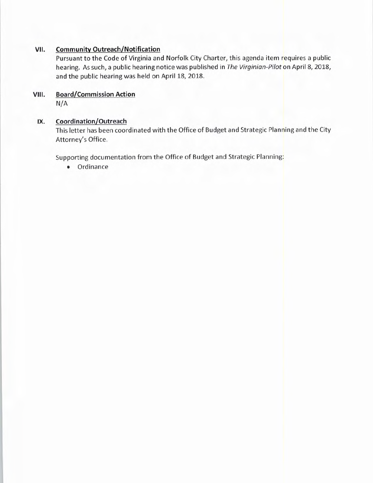### **VII. Community Outreach/Notification**

Pursuant to the Code of Virginia and Norfolk City Charter, this agenda item requires a public hearing. As such, a public hearing notice was published in *The Virginian-Pilot* on April 8, 2018, and the public hearing was held on April 18, 2018.

# **VIII. Board/Commission Action**

N/A

## IX. Coordination/Outreach

This letter has been coordinated with the Office of Budget and Strategic Planning and the City Attorney's Office.

Supporting documentation from the Office of Budget and Strategic Planning:

• Ordinance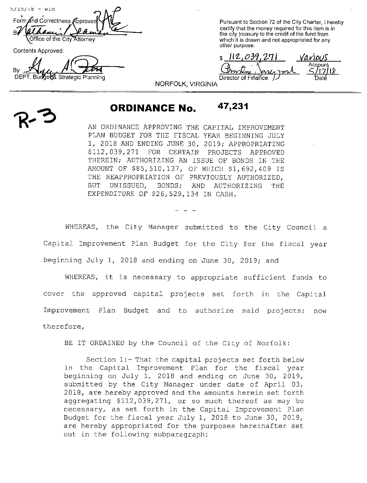$5/15/18 - W1d$ Form and Correctness Approve B Office of the City Attorney

Contents Approved:

DEPT. Budge& Strategic Planning

Pursuant to Section 72 of the City Charter, I hereby certify that the money required for this item is in the city treasury to the credit of the fund from which it is drawn and not appropriated for any other purpose.

<u>112,039,271 Various</u> f, <u>hmstni, Jancy met</u>  $\frac{20}{5}$ un Director of Finance

NORFOLK, VIRGINIA

# ORDINANCE No. 47,231

AN ORDINANCE APPROVING THE CAPITAL IMPROVEMENT PLAN BUDGET FOR THE FISCAL YEAR BEGINNING JULY 1, 2018 AND ENDING JUNE 30, 2019; APPROPRIATING 112, 039, 271 FOR CERTAIN PROJECTS APPROVED THEREIN; AUTHORIZING AN ISSUE OF BONDS IN THE AMOUNT OF \$85,510,137, OF WHICH \$1,692,409 IS THE REAPPROPRIATION OF PREVIOUSLY AUTHORIZED, BUT UNISSUED, BONDS; AND AUTHORIZING THE EXPENDITURE OF \$26,529,134 IN CASH.

WHEREAS, the City Manager submitted to the City Council <sup>a</sup> Capital Improvement Plan Budget for the City for the fiscal year beginning July 1, 2018 and ending on June 30, 2019; and

WHEREAS, it is necessary to appropriate sufficient funds to cover the approved capital projects set forth in the Capital Improvement Plan Budget and to authorize said projects; now therefore,

BE IT ORDAINED by the Council of the City of Norfolk:

Section 1:- That the capital projects set forth below in the Capital Improvement Plan for the fiscal year beginning on July 1, 2018 and ending on June 30, 2019, submitted by the City Manager under date of April 03, 2018, are hereby approved and the amounts herein set forth aggregating \$112,039,271, or so much thereof as may be necessary, as set forth in the Capital Improvement Plan Budget for the fiscal year July 1, <sup>2018</sup> to June 30, 2019, are hereby appropriated for the purposes hereinafter set out in the following subparagraph: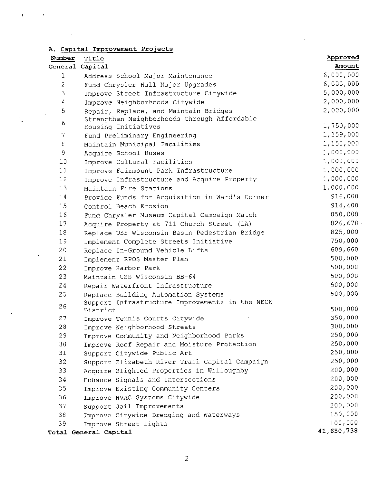|  | A. Capital Improvement Projects |  |
|--|---------------------------------|--|
|  |                                 |  |

 $\hat{\mathbf{r}}$  and  $\hat{\mathbf{r}}$ 

 $\frac{1}{2}$  ,  $\frac{1}{2}$ 

 $\frac{1}{\sqrt{2}}$ 

 $\frac{1}{2}$ 

 $\frac{1}{2}$ 

| Number         | Title                                                              | Approved   |
|----------------|--------------------------------------------------------------------|------------|
|                | General Capital                                                    | Amount     |
| 1              | Address School Major Maintenance                                   | 6,000,000  |
| $\overline{2}$ | Fund Chrysler Hall Major Upgrades                                  | 6,000,000  |
| 3              | Improve Street Infrastructure Citywide                             | 5,000,000  |
| 4              | Improve Neighborhoods Citywide                                     | 2,000,000  |
| 5              | Repair, Replace, and Maintain Bridges                              | 2,000,000  |
| 6              | Strengthen Neighborhoods through Affordable<br>Housing Initiatives | 1,750,000  |
| 7              | Fund Preliminary Engineering                                       | 1,159,000  |
| 8              | Maintain Municipal Facilities                                      | 1,150,000  |
| 9              | Acquire School Buses                                               | 1,000,000  |
| 10             | Improve Cultural Facilities                                        | 1,000,000  |
| 11             | Improve Fairmount Park Infrastructure                              | 1,000,000  |
| 12             | Improve Infrastructure and Acquire Property                        | 1,000,000  |
| 13             | Maintain Fire Stations                                             | 1,000,000  |
| 14             | Provide Funds for Acquisition in Ward's Corner                     | 916,000    |
| 15             | Control Beach Erosion                                              | 914,400    |
| 16             | Fund Chrysler Museum Capital Campaign Match                        | 850,000    |
| 17             | Acquire Property at 711 Church Street (LA)                         | 826,678    |
| 18             | Replace USS Wisconsin Basin Pedestrian Bridge                      | 825,000    |
| 19             | Implement Complete Streets Initiative                              | 750,000    |
| 20             | Replace In-Ground Vehicle Lifts                                    | 609,660    |
| 21             | Implement RPOS Master Plan                                         | 500,000    |
| 22             | Improve Harbor Park                                                | 500,000    |
| 23             | Maintain USS Wisconsin BB-64                                       | 500,000    |
| 24             | Repair Waterfront Infrastructure                                   | 500,000    |
| 25             | Replace Building Automation Systems                                | 500,000    |
|                | Support Infrastructure Improvements in the NEON                    |            |
| 26             | District                                                           | 500,000    |
| 27             | Improve Tennis Courts Citywide                                     | 350,000    |
| 28             | Improve Neighborhood Streets                                       | 300,000    |
| 29             | Improve Community and Neighborhood Parks                           | 250,000    |
| 30             | Improve Roof Repair and Moisture Protection                        | 250,000    |
| 31             | Support Citywide Public Art                                        | 250,000    |
| 32             | Support Elizabeth River Trail Capital Campaign                     | 250,000    |
| 33             | Acquire Blighted Properties in Willoughby                          | 200,000    |
| 34             | Enhance Signals and Intersections                                  | 200,000    |
| 35             | Improve Existing Community Centers                                 | 200,000    |
| 36             | Improve HVAC Systems Citywide                                      | 200,000    |
| 37             | Support Jail Improvements                                          | 200,000    |
| 38             | Improve Citywide Dredging and Waterways                            | 150,000    |
| 39             | Improve Street Lights                                              | 100,000    |
|                | Total General Capital                                              | 41,650,738 |

 $\frac{1}{2}$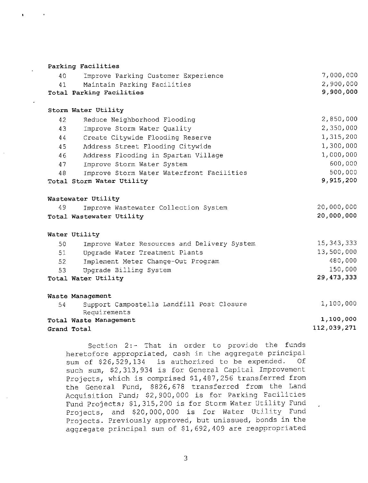|             | Parking Facilities                          |              |
|-------------|---------------------------------------------|--------------|
| 40          | Improve Parking Customer Experience         | 7,000,000    |
| 41          | Maintain Parking Facilities                 | 2,900,000    |
|             | Total Parking Facilities                    | 9,900,000    |
|             |                                             |              |
|             | Storm Water Utility                         |              |
| 42          | Reduce Neighborhood Flooding                | 2,850,000    |
| 43          | Improve Storm Water Quality                 | 2,350,000    |
| 44          | Create Citywide Flooding Reserve            | 1,315,200    |
| 45          | Address Street Flooding Citywide            | 1,300,000    |
| 46          | Address Flooding in Spartan Village         | 1,000,000    |
| 47          | Improve Storm Water System                  | 600,000      |
| 48          | Improve Storm Water Waterfront Facilities   | 500,000      |
|             | Total Storm Water Utility                   | 9,915,200    |
|             |                                             |              |
|             | Wastewater Utility                          |              |
| 49          | Improve Wastewater Collection System        | 20,000,000   |
|             | Total Wastewater Utility                    | 20,000,000   |
|             | Water Utility                               |              |
| 50          | Improve Water Resources and Delivery System | 15, 343, 333 |
| 51          | Upgrade Water Treatment Plants              | 13,500,000   |
| 52          | Implement Meter Change-Out Program          | 480,000      |
| 53          | Upgrade Billing System                      | 150,000      |
|             | Total Water Utility                         | 29, 473, 333 |
|             |                                             |              |
|             | Waste Management                            |              |
| 54          | Support Campostella Landfill Post Closure   | 1,100,000    |
|             | Requirements                                |              |
|             | Total Waste Management                      | 1,100,000    |
| Grand Total |                                             | 112,039,271  |
|             |                                             |              |

Section 2:- That in order to provide the funds heretofore appropriated, cash in the aggregate principal sum of \$26,529,134 is authorized to be expended. Of such sum, \$2,313,934 is for General Capital Improvement Projects, which is comprised \$1,487,256 transferred from the General Fund, \$826,678 transferred from the Land Acquisition Fund; \$2,900,000 is for Parking Facilities Fund Projects; \$1, 315, 200 is for Storm Water Utility Fund Projects, and \$20,000,000 is for Water Utility Fund Projects. Previously approved, but unissued, bonds in the aggregate principal sum of \$1,692,409 are reappropriated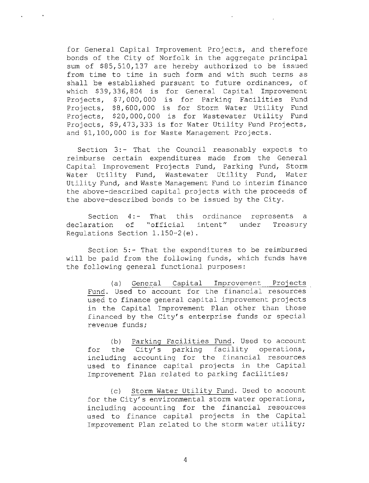for General Capital Improvement Projects, and therefore bonds of the City of Norfolk in the aggregate principal sum of \$85,510,137 are hereby authorized to be issued from time to time in such form and with such terms as shall be established pursuant to future ordinances, of which \$39,336,804 is for General Capital Improvement Projects, \$7,000,000 is for Parking Facilities Fund Projects, \$8,600,000 is for Storm Water Utility Fund Projects, \$20,000,000 is for Wastewater Utility Fund Projects, \$9,473,333 is for Water Utility Fund Projects, and \$1,100,000 is for Waste Management Projects.

Section 3:- That the Council reasonably expects to reimburse certain expenditures made from the General Capital Improvement Projects Fund, Parking Fund, Storm<br>Water Utility Fund, Wastewater Utility Fund, Water Water Utility Fund, Wastewater Utility Fund, Utility Fund, and Waste Management Fund to interim finance the above- described capital projects with the proceeds of the above- described bonds to be issued by the City.

Section 4:- That this ordinance represents <sup>a</sup> declaration of " official intent" under Treasury Regulations Section  $1.150-2(e)$ .

Section 5:- That the expenditures to be reimbursed will be paid from the following funds, which funds have the following general functional purposes:

a) General Capital Improvement Projects Fund. Used to account for the financial resources used to finance general capital improvement projects in the Capital Improvement Plan other than those financed by the City' <sup>s</sup> enterprise funds or special revenue funds;

b) Parking Facilities Fund. Used to account for the City's parking facility operations, including accounting for the financial resources used to finance capital projects in the Capital Improvement Plan related to parking facilities;

c) Storm Water Utility Fund. Used to account for the City's environmental storm water operations, including accounting for the financial resources used to finance capital projects in the Capital Improvement Plan related to the storm water utility;

4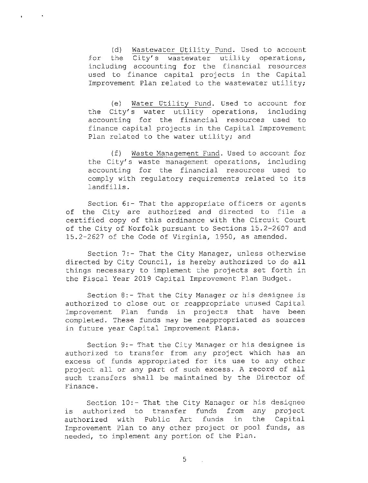d) Wastewater Utility Fund. Used to account for the City's wastewater utility operations, including accounting for the financial resources used to finance capital projects in the Capital Improvement Plan related to the wastewater utility;

e) Water Utility Fund. Used to account for the City's water utility operations, including accounting for the financial resources used to finance capital projects in the Capital Improvement Plan related to the water utility; and

f) Waste Management Fund. Used to account for the City' <sup>s</sup> waste management operations, including accounting for the financial resources used to comply with regulatory requirements related to its landfills.

Section 6:- That the appropriate officers or agents of the City are authorized and directed to file <sup>a</sup> certified copy of this ordinance with the Circuit Court of the City of Norfolk pursuant to Sections 15.2-2607 and 15. 2- <sup>2627</sup> of the Code of Virginia, 1950, as amended.

Section 7:- That the City Manager, unless otherwise directed by City Council, is hereby authorized to do all things necessary to implement the projects set forth in the Fiscal Year 2019 Capital Improvement Plan Budget.

Section 8:- That the City Manager or his designee is authorized to close out or reappropriate unused Capital Improvement Plan funds in projects that have been completed. These funds may be reappropriated as sources in future year Capital Improvement Plans.

Section 9:- That the City Manager or his designee is authorized to transfer from any project which has an excess of funds appropriated for its use to any other project all or any part of such excess. <sup>A</sup> record of all such transfers shall be maintained by the Director of Finance.

Section 10:- That the City Manager or his designee<br>uthorized to transfer funds from any project is authorized to transfer authorized with Public Art funds in the Capital Improvement Plan to any other project or pool funds, as needed, to implement any portion of the Plan.